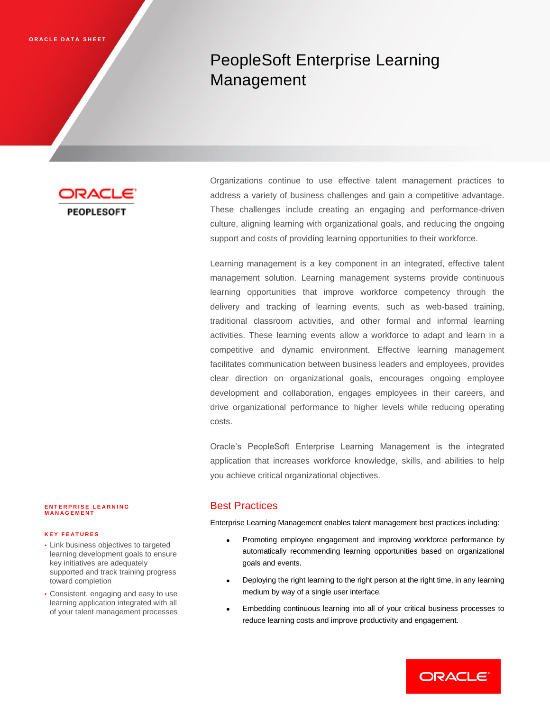# PeopleSoft Enterprise Learning Management

**PEOPLESOFT** 

Organizations continue to use effective talent management practices to address a variety of business challenges and gain a competitive advantage. These challenges include creating an engaging and performance-driven culture, aligning learning with organizational goals, and reducing the ongoing support and costs of providing learning opportunities to their workforce.

Learning management is a key component in an integrated, effective talent management solution. Learning management systems provide continuous learning opportunities that improve workforce competency through the delivery and tracking of learning events, such as web-based training, traditional classroom activities, and other formal and informal learning activities. These learning events allow a workforce to adapt and learn in a competitive and dynamic environment. Effective learning management facilitates communication between business leaders and employees, provides clear direction on organizational goals, encourages ongoing employee development and collaboration, engages employees in their careers, and drive organizational performance to higher levels while reducing operating costs.

Oracle's PeopleSoft Enterprise Learning Management is the integrated application that increases workforce knowledge, skills, and abilities to help you achieve critical organizational objectives.

# Best Practices

Enterprise Learning Management enables talent management best practices including:

- Promoting employee engagement and improving workforce performance by automatically recommending learning opportunities based on organizational goals and events.
- Deploying the right learning to the right person at the right time, in any learning medium by way of a single user interface.
- Embedding continuous learning into all of your critical business processes to reduce learning costs and improve productivity and engagement.

#### **ENTERPRISE LEARNING M A N A G E M E N T**

#### **K E Y F E A T U R E S**

- Link business objectives to targeted learning development goals to ensure key initiatives are adequately supported and track training progress toward completion
- Consistent, engaging and easy to use learning application integrated with all of your talent management processes

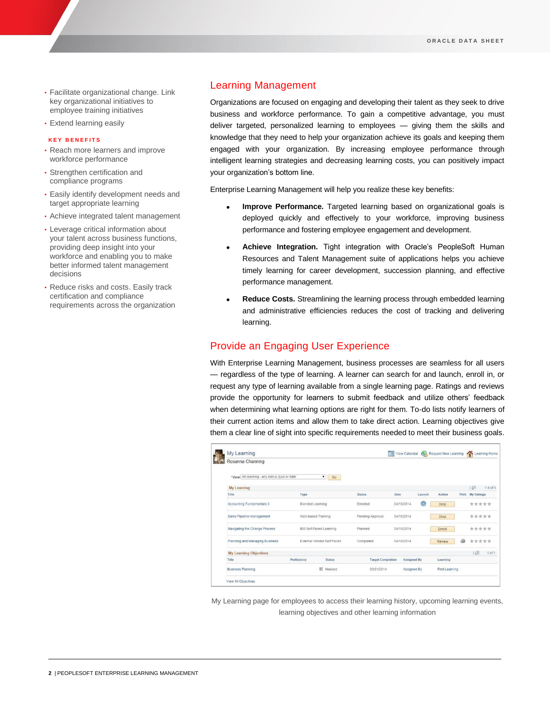- Facilitate organizational change. Link key organizational initiatives to employee training initiatives
- Extend learning easily

#### **K E Y B E N E F I T S**

- Reach more learners and improve workforce performance
- Strengthen certification and compliance programs
- Easily identify development needs and target appropriate learning
- Achieve integrated talent management
- Leverage critical information about your talent across business functions, providing deep insight into your workforce and enabling you to make better informed talent management decisions
- Reduce risks and costs. Easily track certification and compliance requirements across the organization

# Learning Management

Organizations are focused on engaging and developing their talent as they seek to drive business and workforce performance. To gain a competitive advantage, you must deliver targeted, personalized learning to employees — giving them the skills and knowledge that they need to help your organization achieve its goals and keeping them engaged with your organization. By increasing employee performance through intelligent learning strategies and decreasing learning costs, you can positively impact your organization's bottom line.

Enterprise Learning Management will help you realize these key benefits:

- **Improve Performance.** Targeted learning based on organizational goals is deployed quickly and effectively to your workforce, improving business performance and fostering employee engagement and development.
- **Achieve Integration.** Tight integration with Oracle's PeopleSoft Human Resources and Talent Management suite of applications helps you achieve timely learning for career development, succession planning, and effective performance management.
- **Reduce Costs.** Streamlining the learning process through embedded learning and administrative efficiencies reduces the cost of tracking and delivering learning.

## Provide an Engaging User Experience

With Enterprise Learning Management, business processes are seamless for all users — regardless of the type of learning. A learner can search for and launch, enroll in, or request any type of learning available from a single learning page. Ratings and reviews provide the opportunity for learners to submit feedback and utilize others' feedback when determining what learning options are right for them. To-do lists notify learners of their current action items and allow them to take direct action. Learning objectives give them a clear line of sight into specific requirements needed to meet their business goals.

| Rosanna Channing                              |                            |                          |                          |            |                    |               |       |                    |
|-----------------------------------------------|----------------------------|--------------------------|--------------------------|------------|--------------------|---------------|-------|--------------------|
| *View All learning - any status, type or date |                            | $\pmb{\mathrm{v}}$<br>Go |                          |            |                    |               |       |                    |
| <b>My Learning</b>                            |                            |                          |                          |            |                    |               |       | 1回<br>$1-4$ of $4$ |
| Title                                         | Type                       |                          | <b>Status</b>            | Date       | Launch             | Action        | Print | My Ratings         |
| Accounting Fundamentals 3                     | Blended Learning           |                          | Enrolled                 | 04/18/2014 | $\bigcirc$         | Drop          |       | *****              |
| Sales Pipeline Management                     | Web-based Training         |                          | Pending Approval         | 04/18/2014 |                    | Drop          |       | *****              |
| Navigating the Change Process                 | IBS Self Paced Learning    |                          | Planned                  | 04/18/2014 |                    | Enroll        | ***** |                    |
| Planning and Managing Business                | External Vendor Self Paced |                          | Completed                | 04/18/2014 |                    | Review        | æ     |                    |
| <b>My Learning Objectives</b>                 |                            |                          |                          |            |                    |               |       | $\sqrt{2}$         |
| Title                                         | Proficiency                | <b>Status</b>            | <b>Target Completion</b> |            | <b>Assigned By</b> | Learning      |       |                    |
| <b>Business Planning</b>                      |                            | <b>H</b> Needed          | 03/31/2014               |            | Assigned By        | Find Learning |       |                    |

My Learning page for employees to access their learning history, upcoming learning events, learning objectives and other learning information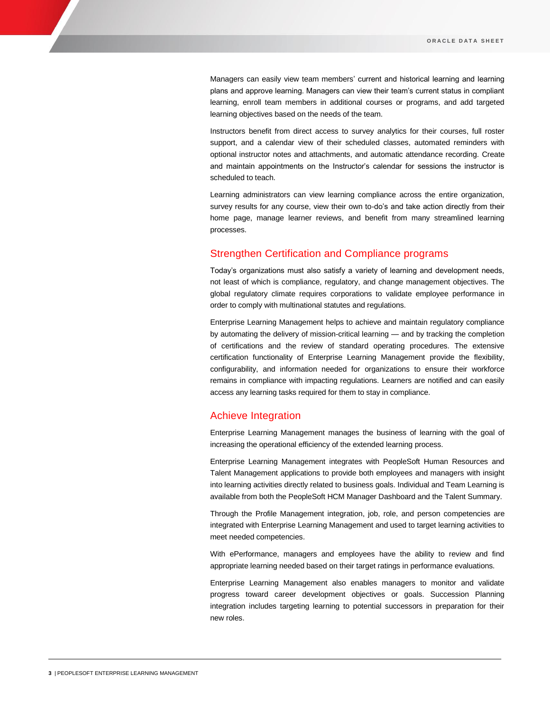Managers can easily view team members' current and historical learning and learning plans and approve learning. Managers can view their team's current status in compliant learning, enroll team members in additional courses or programs, and add targeted learning objectives based on the needs of the team.

Instructors benefit from direct access to survey analytics for their courses, full roster support, and a calendar view of their scheduled classes, automated reminders with optional instructor notes and attachments, and automatic attendance recording. Create and maintain appointments on the Instructor's calendar for sessions the instructor is scheduled to teach.

Learning administrators can view learning compliance across the entire organization, survey results for any course, view their own to-do's and take action directly from their home page, manage learner reviews, and benefit from many streamlined learning processes.

#### Strengthen Certification and Compliance programs

Today's organizations must also satisfy a variety of learning and development needs, not least of which is compliance, regulatory, and change management objectives. The global regulatory climate requires corporations to validate employee performance in order to comply with multinational statutes and regulations.

Enterprise Learning Management helps to achieve and maintain regulatory compliance by automating the delivery of mission-critical learning — and by tracking the completion of certifications and the review of standard operating procedures. The extensive certification functionality of Enterprise Learning Management provide the flexibility, configurability, and information needed for organizations to ensure their workforce remains in compliance with impacting regulations. Learners are notified and can easily access any learning tasks required for them to stay in compliance.

#### Achieve Integration

Enterprise Learning Management manages the business of learning with the goal of increasing the operational efficiency of the extended learning process.

Enterprise Learning Management integrates with PeopleSoft Human Resources and Talent Management applications to provide both employees and managers with insight into learning activities directly related to business goals. Individual and Team Learning is available from both the PeopleSoft HCM Manager Dashboard and the Talent Summary.

Through the Profile Management integration, job, role, and person competencies are integrated with Enterprise Learning Management and used to target learning activities to meet needed competencies.

With ePerformance, managers and employees have the ability to review and find appropriate learning needed based on their target ratings in performance evaluations.

Enterprise Learning Management also enables managers to monitor and validate progress toward career development objectives or goals. Succession Planning integration includes targeting learning to potential successors in preparation for their new roles.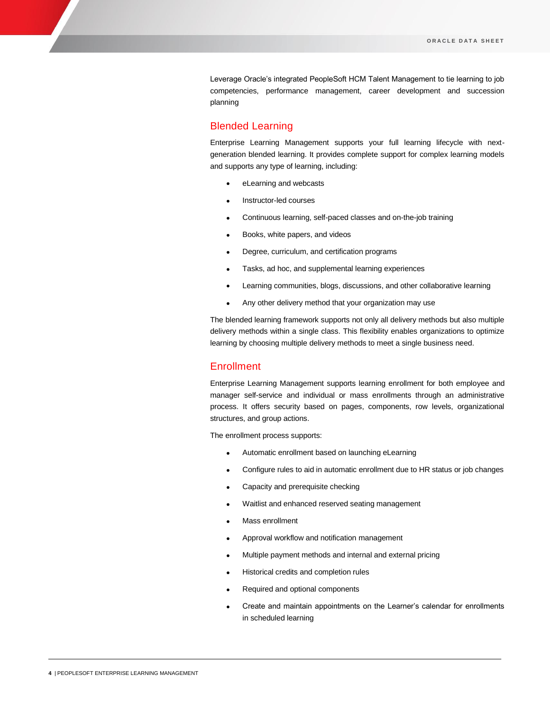Leverage Oracle's integrated PeopleSoft HCM Talent Management to tie learning to job competencies, performance management, career development and succession planning

#### Blended Learning

Enterprise Learning Management supports your full learning lifecycle with nextgeneration blended learning. It provides complete support for complex learning models and supports any type of learning, including:

- eLearning and webcasts
- Instructor-led courses
- Continuous learning, self-paced classes and on-the-job training
- Books, white papers, and videos
- Degree, curriculum, and certification programs
- Tasks, ad hoc, and supplemental learning experiences
- Learning communities, blogs, discussions, and other collaborative learning
- Any other delivery method that your organization may use

The blended learning framework supports not only all delivery methods but also multiple delivery methods within a single class. This flexibility enables organizations to optimize learning by choosing multiple delivery methods to meet a single business need.

#### **Enrollment**

Enterprise Learning Management supports learning enrollment for both employee and manager self-service and individual or mass enrollments through an administrative process. It offers security based on pages, components, row levels, organizational structures, and group actions.

The enrollment process supports:

- Automatic enrollment based on launching eLearning
- Configure rules to aid in automatic enrollment due to HR status or job changes
- Capacity and prerequisite checking
- Waitlist and enhanced reserved seating management
- Mass enrollment
- Approval workflow and notification management
- Multiple payment methods and internal and external pricing
- Historical credits and completion rules
- Required and optional components
- Create and maintain appointments on the Learner's calendar for enrollments in scheduled learning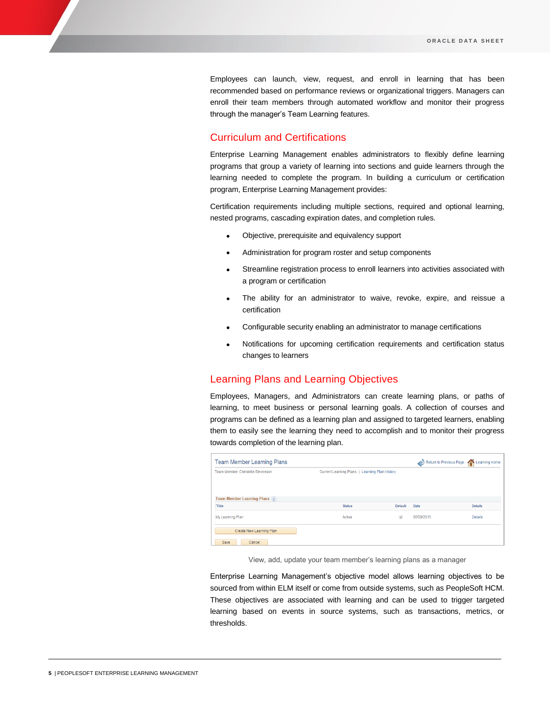Employees can launch, view, request, and enroll in learning that has been recommended based on performance reviews or organizational triggers. Managers can enroll their team members through automated workflow and monitor their progress through the manager's Team Learning features.

# Curriculum and Certifications

Enterprise Learning Management enables administrators to flexibly define learning programs that group a variety of learning into sections and guide learners through the learning needed to complete the program. In building a curriculum or certification program, Enterprise Learning Management provides:

Certification requirements including multiple sections, required and optional learning, nested programs, cascading expiration dates, and completion rules.

- Objective, prerequisite and equivalency support
- Administration for program roster and setup components
- Streamline registration process to enroll learners into activities associated with a program or certification
- The ability for an administrator to waive, revoke, expire, and reissue a certification
- Configurable security enabling an administrator to manage certifications
- Notifications for upcoming certification requirements and certification status changes to learners

#### Learning Plans and Learning Objectives

Employees, Managers, and Administrators can create learning plans, or paths of learning, to meet business or personal learning goals. A collection of courses and programs can be defined as a learning plan and assigned to targeted learners, enabling them to easily see the learning they need to accomplish and to monitor their progress towards completion of the learning plan.

| <b>Team Member Learning Plans</b> |                                                |                | Return to Previous Page Part Learning Home |                |
|-----------------------------------|------------------------------------------------|----------------|--------------------------------------------|----------------|
| Team Member: Christelle Stevenson | Current Learning Plans   Learning Plan History |                |                                            |                |
|                                   |                                                |                |                                            |                |
| Team Member Learning Plans (?)    |                                                |                |                                            |                |
| *Title                            | <b>Status</b>                                  | <b>Default</b> | Date                                       | <b>Details</b> |
| My Learning Plan                  | Active                                         | $\mathcal{A}$  | 06/29/2015                                 | <b>Details</b> |
| Create New Learning Plan          |                                                |                |                                            |                |
| Save<br>Cancel                    |                                                |                |                                            |                |

View, add, update your team member's learning plans as a manager

Enterprise Learning Management's objective model allows learning objectives to be sourced from within ELM itself or come from outside systems, such as PeopleSoft HCM. These objectives are associated with learning and can be used to trigger targeted learning based on events in source systems, such as transactions, metrics, or thresholds.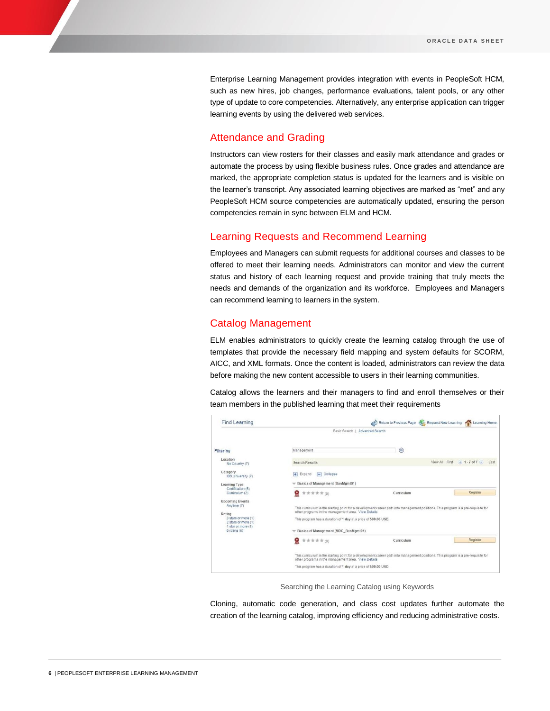Enterprise Learning Management provides integration with events in PeopleSoft HCM, such as new hires, job changes, performance evaluations, talent pools, or any other type of update to core competencies. Alternatively, any enterprise application can trigger learning events by using the delivered web services.

#### Attendance and Grading

Instructors can view rosters for their classes and easily mark attendance and grades or automate the process by using flexible business rules. Once grades and attendance are marked, the appropriate completion status is updated for the learners and is visible on the learner's transcript. Any associated learning objectives are marked as "met" and any PeopleSoft HCM source competencies are automatically updated, ensuring the person competencies remain in sync between ELM and HCM.

## Learning Requests and Recommend Learning

Employees and Managers can submit requests for additional courses and classes to be offered to meet their learning needs. Administrators can monitor and view the current status and history of each learning request and provide training that truly meets the needs and demands of the organization and its workforce. Employees and Managers can recommend learning to learners in the system.

#### Catalog Management

ELM enables administrators to quickly create the learning catalog through the use of templates that provide the necessary field mapping and system defaults for SCORM, AICC, and XML formats. Once the content is loaded, administrators can review the data before making the new content accessible to users in their learning communities.

Catalog allows the learners and their managers to find and enroll themselves or their team members in the published learning that meet their requirements

| <b>Find Learning</b>                                                                          |                                                                                                                                                                                                                                                                                                     | Return to Previous Page Request New Learning                                                                                       | $\curvearrowleft$<br>Learning Home |  |  |  |
|-----------------------------------------------------------------------------------------------|-----------------------------------------------------------------------------------------------------------------------------------------------------------------------------------------------------------------------------------------------------------------------------------------------------|------------------------------------------------------------------------------------------------------------------------------------|------------------------------------|--|--|--|
|                                                                                               |                                                                                                                                                                                                                                                                                                     | Basic Search   Advanced Search                                                                                                     |                                    |  |  |  |
| <b>Filter by</b>                                                                              | Management                                                                                                                                                                                                                                                                                          | $\circ$                                                                                                                            |                                    |  |  |  |
| Location<br>No Country (7)                                                                    | Search Results                                                                                                                                                                                                                                                                                      | View All First                                                                                                                     | 1.7 of 7<br>Last                   |  |  |  |
| Category<br>IBS University (7)                                                                | $\Box$ Collapse<br>$+$ Expand                                                                                                                                                                                                                                                                       |                                                                                                                                    |                                    |  |  |  |
| Learning Type<br>Certification (5)<br>Curriculum (2)<br><b>Upcoming Events</b><br>Anytime (7) | Basics of Management (BasMgmt01)<br>Q<br><b>★★★★★(0)</b>                                                                                                                                                                                                                                            | Curriculum                                                                                                                         | Register                           |  |  |  |
| Rating<br>3 stars or more (1)<br>2 stars or more (1)<br>1 star or more (1)<br>0 rating (6)    | This curriculum is the starting point for a development career path into management positions. This program is a pre-requisite for<br>other programs in the management area. View Details<br>This program has a duration of 1 day at a price of 500.00 USD.<br>Basics of Management (MDC_BasMgmt01) |                                                                                                                                    |                                    |  |  |  |
|                                                                                               | ۹<br><b>★ ★ ★ ★ ★ (0)</b>                                                                                                                                                                                                                                                                           | Curriculum                                                                                                                         | Register                           |  |  |  |
|                                                                                               | other programs in the management area. View Details                                                                                                                                                                                                                                                 | This curriculum is the starting point for a development career path into management positions. This program is a pre-requisite for |                                    |  |  |  |
|                                                                                               | This program has a duration of 1 day at a price of 500.00 USD.                                                                                                                                                                                                                                      |                                                                                                                                    |                                    |  |  |  |

Searching the Learning Catalog using Keywords

Cloning, automatic code generation, and class cost updates further automate the creation of the learning catalog, improving efficiency and reducing administrative costs.